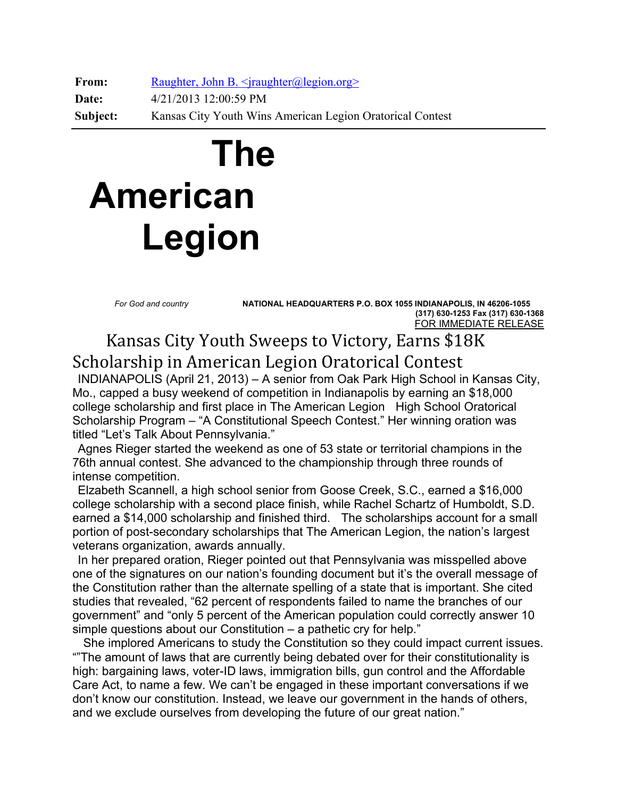**From:** Raughter, John B. <*jraughter@legion.org>* **Date:** 4/21/2013 12:00:59 PM **Subject:** Kansas City Youth Wins American Legion Oratorical Contest

## **The American Legion**

 *For God and country* **NATIONAL HEADQUARTERS P.O. BOX 1055 INDIANAPOLIS, IN 46206-1055 (317) 630-1253 Fax (317) 630-1368**  FOR IMMEDIATE RELEASE

 Kansas City Youth Sweeps to Victory, Earns \$18K Scholarship in American Legion Oratorical Contest

 INDIANAPOLIS (April 21, 2013) – A senior from Oak Park High School in Kansas City, Mo., capped a busy weekend of competition in Indianapolis by earning an \$18,000 college scholarship and first place in The American Legion High School Oratorical Scholarship Program – "A Constitutional Speech Contest." Her winning oration was titled "Let's Talk About Pennsylvania."

 Agnes Rieger started the weekend as one of 53 state or territorial champions in the 76th annual contest. She advanced to the championship through three rounds of intense competition.

 Elzabeth Scannell, a high school senior from Goose Creek, S.C., earned a \$16,000 college scholarship with a second place finish, while Rachel Schartz of Humboldt, S.D. earned a \$14,000 scholarship and finished third. The scholarships account for a small portion of post-secondary scholarships that The American Legion, the nation's largest veterans organization, awards annually.

 In her prepared oration, Rieger pointed out that Pennsylvania was misspelled above one of the signatures on our nation's founding document but it's the overall message of the Constitution rather than the alternate spelling of a state that is important. She cited studies that revealed, "62 percent of respondents failed to name the branches of our government" and "only 5 percent of the American population could correctly answer 10 simple questions about our Constitution – a pathetic cry for help."

 She implored Americans to study the Constitution so they could impact current issues. ""The amount of laws that are currently being debated over for their constitutionality is high: bargaining laws, voter-ID laws, immigration bills, gun control and the Affordable Care Act, to name a few. We can't be engaged in these important conversations if we don't know our constitution. Instead, we leave our government in the hands of others, and we exclude ourselves from developing the future of our great nation."